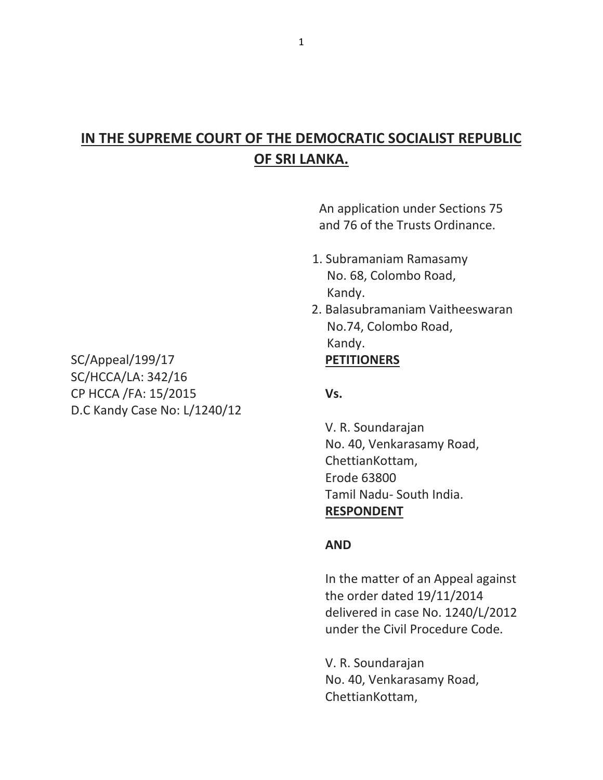# **IN THE SUPREME COURT OF THE DEMOCRATIC SOCIALIST REPUBLIC OF SRI LANKA.**

An application under Sections 75 and 76 of the Trusts Ordinance.

- 1. Subramaniam Ramasamy No. 68, Colombo Road, Kandy.
- 2. Balasubramaniam Vaitheeswaran No.74, Colombo Road, Kandy.

 V. R. Soundarajan No. 40, Venkarasamy Road, ChettianKottam, Erode 63800 Tamil Nadu- South India.  **RESPONDENT**

#### **AND**

 In the matter of an Appeal against the order dated 19/11/2014 delivered in case No. 1240/L/2012 under the Civil Procedure Code.

 V. R. Soundarajan No. 40, Venkarasamy Road, ChettianKottam,

SC/Appeal/199/17 **PETITIONERS** SC/HCCA/LA: 342/16 CP HCCA /FA: 15/2015 **Vs.** D.C Kandy Case No: L/1240/12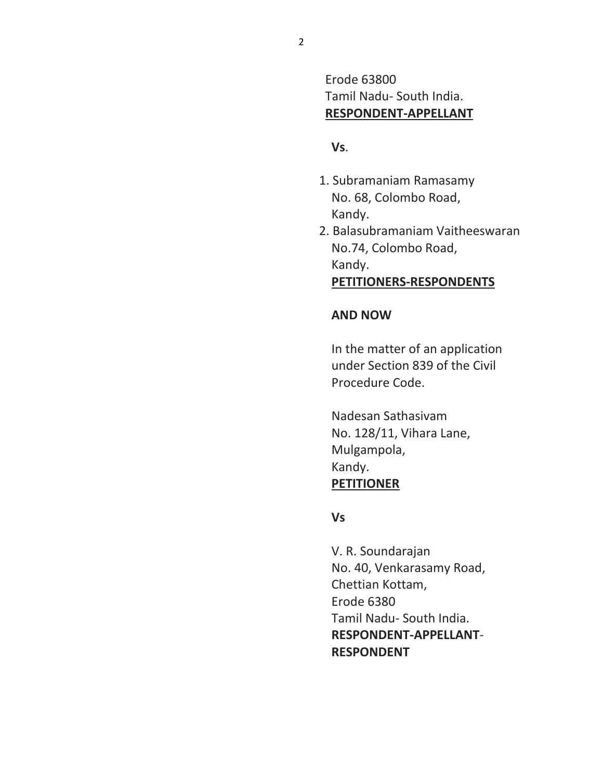Erode 63800 Tamil Nadu- South India. **RESPONDENT-APPELLANT**

### **Vs**.

- 1. Subramaniam Ramasamy No. 68, Colombo Road, Kandy.
- 2. Balasubramaniam Vaitheeswaran No.74, Colombo Road, Kandy. **PETITIONERS-RESPONDENTS**

#### **AND NOW**

 In the matter of an application under Section 839 of the Civil Procedure Code.

 Nadesan Sathasivam No. 128/11, Vihara Lane, Mulgampola, Kandy. **PETITIONER**

#### **Vs**

 V. R. Soundarajan No. 40, Venkarasamy Road, Chettian Kottam, Erode 6380 Tamil Nadu- South India. **RESPONDENT-APPELLANT**- **RESPONDENT**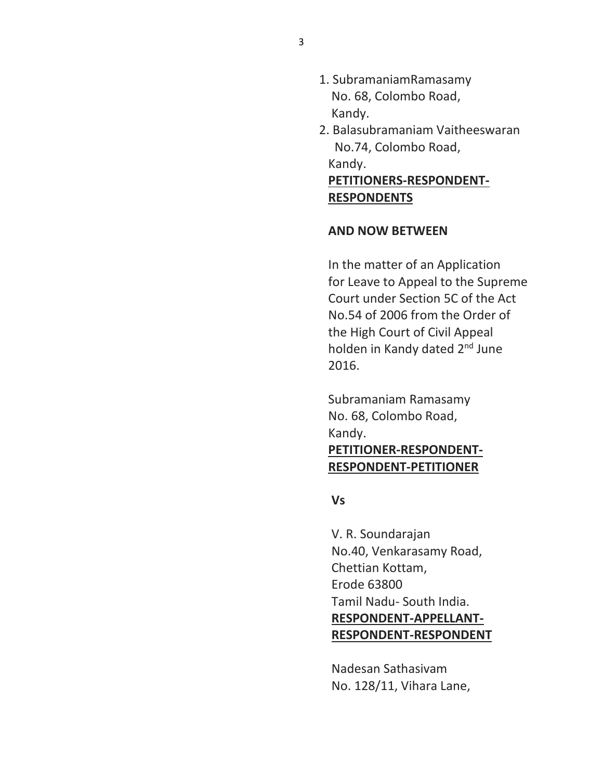- 1. SubramaniamRamasamy No. 68, Colombo Road, Kandy.
- 2. Balasubramaniam Vaitheeswaran No.74, Colombo Road, Kandy.

 **PETITIONERS-RESPONDENT- RESPONDENTS**

#### **AND NOW BETWEEN**

 In the matter of an Application for Leave to Appeal to the Supreme Court under Section 5C of the Act No.54 of 2006 from the Order of the High Court of Civil Appeal holden in Kandy dated 2<sup>nd</sup> June 2016.

 Subramaniam Ramasamy No. 68, Colombo Road, Kandy.

# **PETITIONER-RESPONDENT- RESPONDENT-PETITIONER**

 **Vs**

 V. R. Soundarajan No.40, Venkarasamy Road, Chettian Kottam, Erode 63800 Tamil Nadu- South India. **RESPONDENT-APPELLANT- RESPONDENT-RESPONDENT**

 Nadesan Sathasivam No. 128/11, Vihara Lane,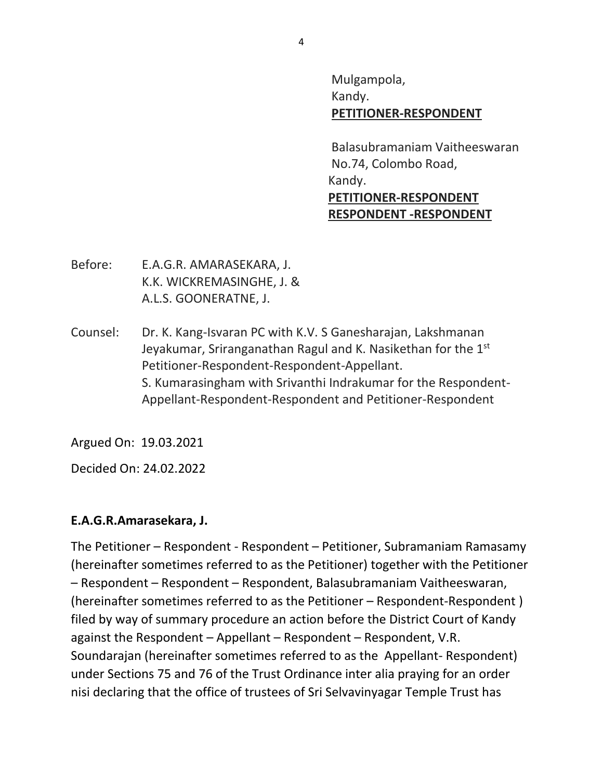Mulgampola, Kandy. **PETITIONER-RESPONDENT**

 Balasubramaniam Vaitheeswaran No.74, Colombo Road, Kandy. **PETITIONER-RESPONDENT RESPONDENT -RESPONDENT**

- Before: E.A.G.R. AMARASEKARA, J. K.K. WICKREMASINGHE, J. & A.L.S. GOONERATNE, J.
- Counsel: Dr. K. Kang-Isvaran PC with K.V. S Ganesharajan, Lakshmanan Jeyakumar, Sriranganathan Ragul and K. Nasikethan for the  $1<sup>st</sup>$ Petitioner-Respondent-Respondent-Appellant. S. Kumarasingham with Srivanthi Indrakumar for the Respondent-Appellant-Respondent-Respondent and Petitioner-Respondent

Argued On: 19.03.2021

Decided On: 24.02.2022

## **E.A.G.R.Amarasekara, J.**

The Petitioner – Respondent - Respondent – Petitioner, Subramaniam Ramasamy (hereinafter sometimes referred to as the Petitioner) together with the Petitioner – Respondent – Respondent – Respondent, Balasubramaniam Vaitheeswaran, (hereinafter sometimes referred to as the Petitioner – Respondent-Respondent ) filed by way of summary procedure an action before the District Court of Kandy against the Respondent – Appellant – Respondent – Respondent, V.R. Soundarajan (hereinafter sometimes referred to as the Appellant- Respondent) under Sections 75 and 76 of the Trust Ordinance inter alia praying for an order nisi declaring that the office of trustees of Sri Selvavinyagar Temple Trust has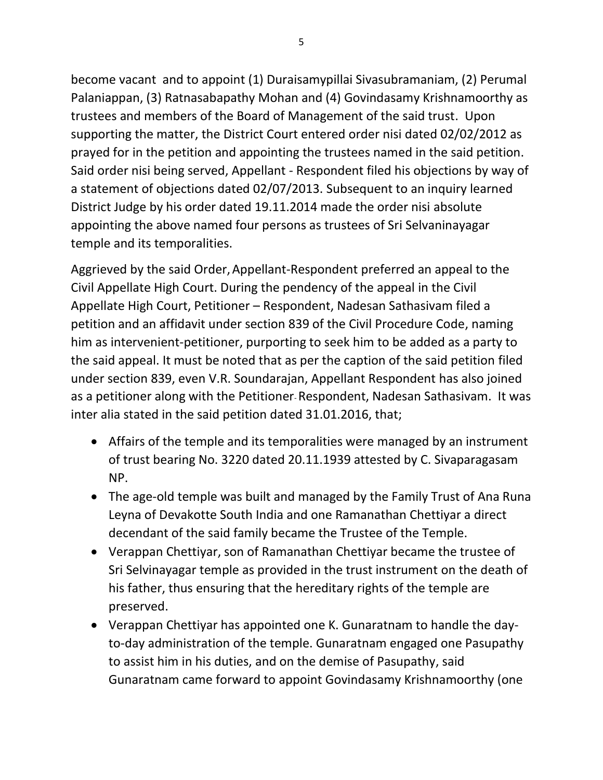become vacant and to appoint (1) Duraisamypillai Sivasubramaniam, (2) Perumal Palaniappan, (3) Ratnasabapathy Mohan and (4) Govindasamy Krishnamoorthy as trustees and members of the Board of Management of the said trust. Upon supporting the matter, the District Court entered order nisi dated 02/02/2012 as prayed for in the petition and appointing the trustees named in the said petition. Said order nisi being served, Appellant - Respondent filed his objections by way of a statement of objections dated 02/07/2013. Subsequent to an inquiry learned District Judge by his order dated 19.11.2014 made the order nisi absolute appointing the above named four persons as trustees of Sri Selvaninayagar temple and its temporalities.

Aggrieved by the said Order,Appellant-Respondent preferred an appeal to the Civil Appellate High Court. During the pendency of the appeal in the Civil Appellate High Court, Petitioner – Respondent, Nadesan Sathasivam filed a petition and an affidavit under section 839 of the Civil Procedure Code, naming him as intervenient-petitioner, purporting to seek him to be added as a party to the said appeal. It must be noted that as per the caption of the said petition filed under section 839, even V.R. Soundarajan, Appellant Respondent has also joined as a petitioner along with the Petitioner-Respondent, Nadesan Sathasivam. It was inter alia stated in the said petition dated 31.01.2016, that;

- Affairs of the temple and its temporalities were managed by an instrument of trust bearing No. 3220 dated 20.11.1939 attested by C. Sivaparagasam NP.
- The age-old temple was built and managed by the Family Trust of Ana Runa Leyna of Devakotte South India and one Ramanathan Chettiyar a direct decendant of the said family became the Trustee of the Temple.
- Verappan Chettiyar, son of Ramanathan Chettiyar became the trustee of Sri Selvinayagar temple as provided in the trust instrument on the death of his father, thus ensuring that the hereditary rights of the temple are preserved.
- Verappan Chettiyar has appointed one K. Gunaratnam to handle the dayto-day administration of the temple. Gunaratnam engaged one Pasupathy to assist him in his duties, and on the demise of Pasupathy, said Gunaratnam came forward to appoint Govindasamy Krishnamoorthy (one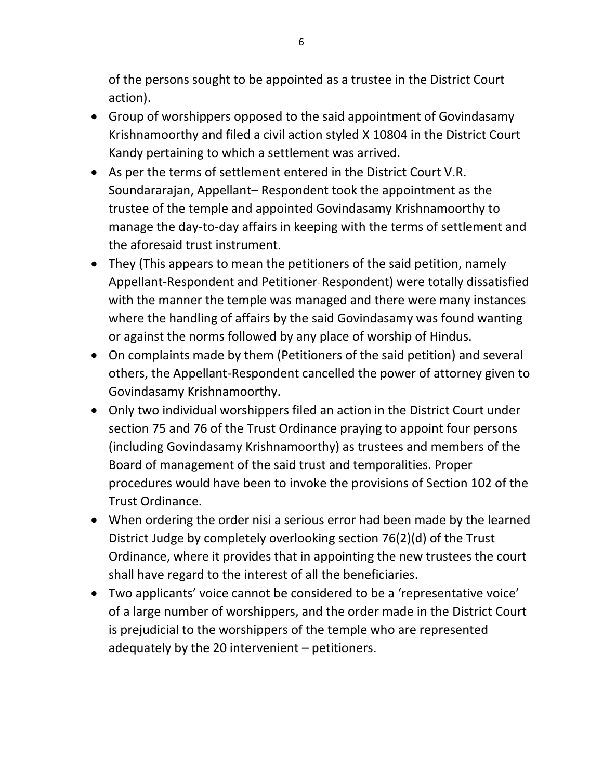of the persons sought to be appointed as a trustee in the District Court action).

- Group of worshippers opposed to the said appointment of Govindasamy Krishnamoorthy and filed a civil action styled X 10804 in the District Court Kandy pertaining to which a settlement was arrived.
- As per the terms of settlement entered in the District Court V.R. Soundararajan, Appellant– Respondent took the appointment as the trustee of the temple and appointed Govindasamy Krishnamoorthy to manage the day-to-day affairs in keeping with the terms of settlement and the aforesaid trust instrument.
- They (This appears to mean the petitioners of the said petition, namely Appellant-Respondent and Petitioner-Respondent) were totally dissatisfied with the manner the temple was managed and there were many instances where the handling of affairs by the said Govindasamy was found wanting or against the norms followed by any place of worship of Hindus.
- On complaints made by them (Petitioners of the said petition) and several others, the Appellant-Respondent cancelled the power of attorney given to Govindasamy Krishnamoorthy.
- Only two individual worshippers filed an action in the District Court under section 75 and 76 of the Trust Ordinance praying to appoint four persons (including Govindasamy Krishnamoorthy) as trustees and members of the Board of management of the said trust and temporalities. Proper procedures would have been to invoke the provisions of Section 102 of the Trust Ordinance.
- When ordering the order nisi a serious error had been made by the learned District Judge by completely overlooking section 76(2)(d) of the Trust Ordinance, where it provides that in appointing the new trustees the court shall have regard to the interest of all the beneficiaries.
- Two applicants' voice cannot be considered to be a 'representative voice' of a large number of worshippers, and the order made in the District Court is prejudicial to the worshippers of the temple who are represented adequately by the 20 intervenient – petitioners.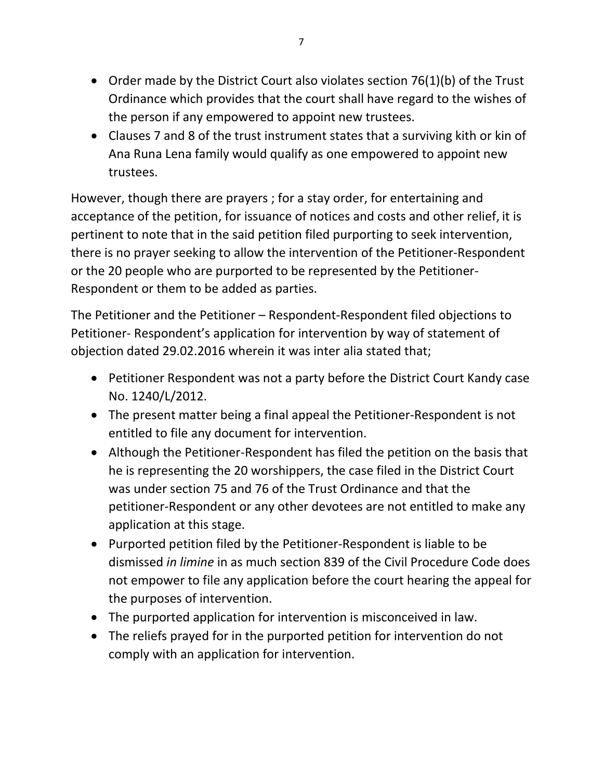- Order made by the District Court also violates section 76(1)(b) of the Trust Ordinance which provides that the court shall have regard to the wishes of the person if any empowered to appoint new trustees.
- Clauses 7 and 8 of the trust instrument states that a surviving kith or kin of Ana Runa Lena family would qualify as one empowered to appoint new trustees.

However, though there are prayers ; for a stay order, for entertaining and acceptance of the petition, for issuance of notices and costs and other relief, it is pertinent to note that in the said petition filed purporting to seek intervention, there is no prayer seeking to allow the intervention of the Petitioner-Respondent or the 20 people who are purported to be represented by the Petitioner-Respondent or them to be added as parties.

The Petitioner and the Petitioner – Respondent-Respondent filed objections to Petitioner- Respondent's application for intervention by way of statement of objection dated 29.02.2016 wherein it was inter alia stated that;

- Petitioner Respondent was not a party before the District Court Kandy case No. 1240/L/2012.
- The present matter being a final appeal the Petitioner-Respondent is not entitled to file any document for intervention.
- Although the Petitioner-Respondent has filed the petition on the basis that he is representing the 20 worshippers, the case filed in the District Court was under section 75 and 76 of the Trust Ordinance and that the petitioner-Respondent or any other devotees are not entitled to make any application at this stage.
- Purported petition filed by the Petitioner-Respondent is liable to be dismissed *in limine* in as much section 839 of the Civil Procedure Code does not empower to file any application before the court hearing the appeal for the purposes of intervention.
- The purported application for intervention is misconceived in law.
- The reliefs prayed for in the purported petition for intervention do not comply with an application for intervention.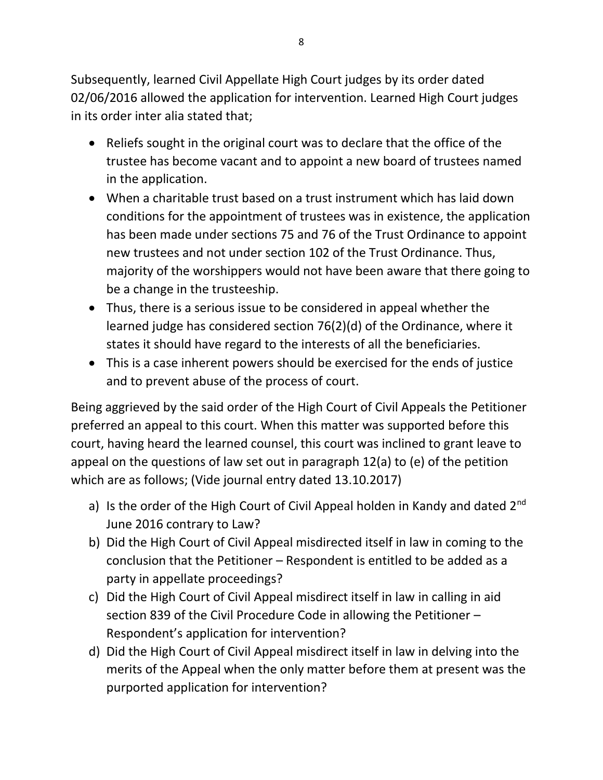Subsequently, learned Civil Appellate High Court judges by its order dated 02/06/2016 allowed the application for intervention. Learned High Court judges in its order inter alia stated that;

- Reliefs sought in the original court was to declare that the office of the trustee has become vacant and to appoint a new board of trustees named in the application.
- When a charitable trust based on a trust instrument which has laid down conditions for the appointment of trustees was in existence, the application has been made under sections 75 and 76 of the Trust Ordinance to appoint new trustees and not under section 102 of the Trust Ordinance. Thus, majority of the worshippers would not have been aware that there going to be a change in the trusteeship.
- Thus, there is a serious issue to be considered in appeal whether the learned judge has considered section 76(2)(d) of the Ordinance, where it states it should have regard to the interests of all the beneficiaries.
- This is a case inherent powers should be exercised for the ends of justice and to prevent abuse of the process of court.

Being aggrieved by the said order of the High Court of Civil Appeals the Petitioner preferred an appeal to this court. When this matter was supported before this court, having heard the learned counsel, this court was inclined to grant leave to appeal on the questions of law set out in paragraph 12(a) to (e) of the petition which are as follows; (Vide journal entry dated 13.10.2017)

- a) Is the order of the High Court of Civil Appeal holden in Kandy and dated  $2^{nd}$ June 2016 contrary to Law?
- b) Did the High Court of Civil Appeal misdirected itself in law in coming to the conclusion that the Petitioner – Respondent is entitled to be added as a party in appellate proceedings?
- c) Did the High Court of Civil Appeal misdirect itself in law in calling in aid section 839 of the Civil Procedure Code in allowing the Petitioner – Respondent's application for intervention?
- d) Did the High Court of Civil Appeal misdirect itself in law in delving into the merits of the Appeal when the only matter before them at present was the purported application for intervention?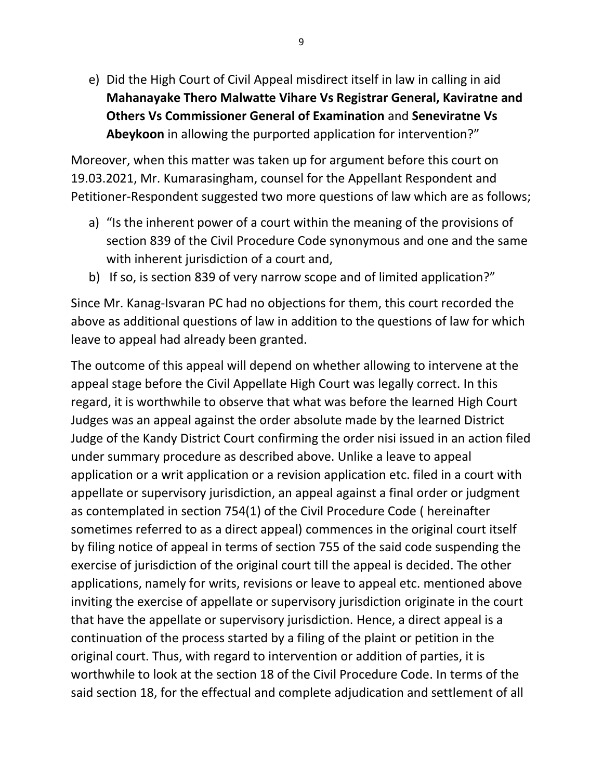e) Did the High Court of Civil Appeal misdirect itself in law in calling in aid **Mahanayake Thero Malwatte Vihare Vs Registrar General, Kaviratne and Others Vs Commissioner General of Examination** and **Seneviratne Vs Abeykoon** in allowing the purported application for intervention?"

Moreover, when this matter was taken up for argument before this court on 19.03.2021, Mr. Kumarasingham, counsel for the Appellant Respondent and Petitioner-Respondent suggested two more questions of law which are as follows;

- a) "Is the inherent power of a court within the meaning of the provisions of section 839 of the Civil Procedure Code synonymous and one and the same with inherent jurisdiction of a court and,
- b) If so, is section 839 of very narrow scope and of limited application?"

Since Mr. Kanag-Isvaran PC had no objections for them, this court recorded the above as additional questions of law in addition to the questions of law for which leave to appeal had already been granted.

The outcome of this appeal will depend on whether allowing to intervene at the appeal stage before the Civil Appellate High Court was legally correct. In this regard, it is worthwhile to observe that what was before the learned High Court Judges was an appeal against the order absolute made by the learned District Judge of the Kandy District Court confirming the order nisi issued in an action filed under summary procedure as described above. Unlike a leave to appeal application or a writ application or a revision application etc. filed in a court with appellate or supervisory jurisdiction, an appeal against a final order or judgment as contemplated in section 754(1) of the Civil Procedure Code ( hereinafter sometimes referred to as a direct appeal) commences in the original court itself by filing notice of appeal in terms of section 755 of the said code suspending the exercise of jurisdiction of the original court till the appeal is decided. The other applications, namely for writs, revisions or leave to appeal etc. mentioned above inviting the exercise of appellate or supervisory jurisdiction originate in the court that have the appellate or supervisory jurisdiction. Hence, a direct appeal is a continuation of the process started by a filing of the plaint or petition in the original court. Thus, with regard to intervention or addition of parties, it is worthwhile to look at the section 18 of the Civil Procedure Code. In terms of the said section 18, for the effectual and complete adjudication and settlement of all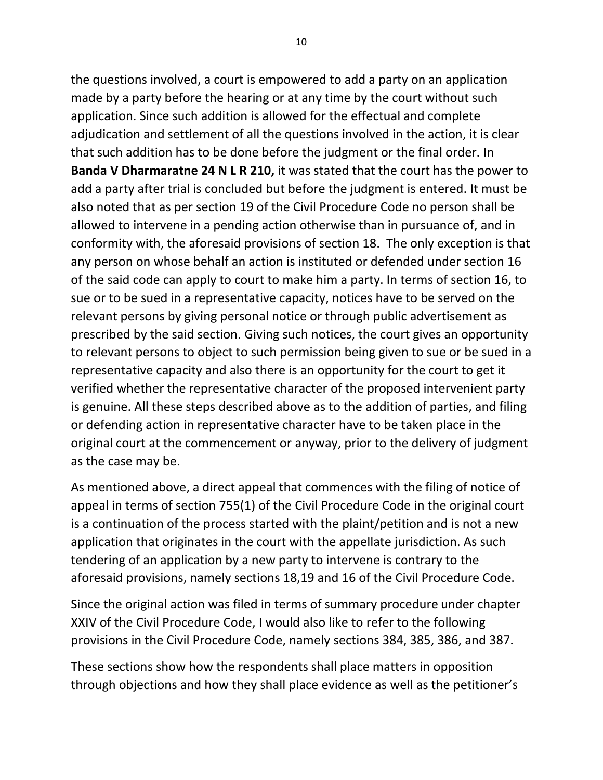the questions involved, a court is empowered to add a party on an application made by a party before the hearing or at any time by the court without such application. Since such addition is allowed for the effectual and complete adjudication and settlement of all the questions involved in the action, it is clear that such addition has to be done before the judgment or the final order. In **Banda V Dharmaratne 24 N L R 210,** it was stated that the court has the power to add a party after trial is concluded but before the judgment is entered. It must be also noted that as per section 19 of the Civil Procedure Code no person shall be allowed to intervene in a pending action otherwise than in pursuance of, and in conformity with, the aforesaid provisions of section 18. The only exception is that any person on whose behalf an action is instituted or defended under section 16 of the said code can apply to court to make him a party. In terms of section 16, to sue or to be sued in a representative capacity, notices have to be served on the relevant persons by giving personal notice or through public advertisement as prescribed by the said section. Giving such notices, the court gives an opportunity to relevant persons to object to such permission being given to sue or be sued in a representative capacity and also there is an opportunity for the court to get it verified whether the representative character of the proposed intervenient party is genuine. All these steps described above as to the addition of parties, and filing or defending action in representative character have to be taken place in the original court at the commencement or anyway, prior to the delivery of judgment as the case may be.

As mentioned above, a direct appeal that commences with the filing of notice of appeal in terms of section 755(1) of the Civil Procedure Code in the original court is a continuation of the process started with the plaint/petition and is not a new application that originates in the court with the appellate jurisdiction. As such tendering of an application by a new party to intervene is contrary to the aforesaid provisions, namely sections 18,19 and 16 of the Civil Procedure Code.

Since the original action was filed in terms of summary procedure under chapter XXIV of the Civil Procedure Code, I would also like to refer to the following provisions in the Civil Procedure Code, namely sections 384, 385, 386, and 387.

These sections show how the respondents shall place matters in opposition through objections and how they shall place evidence as well as the petitioner's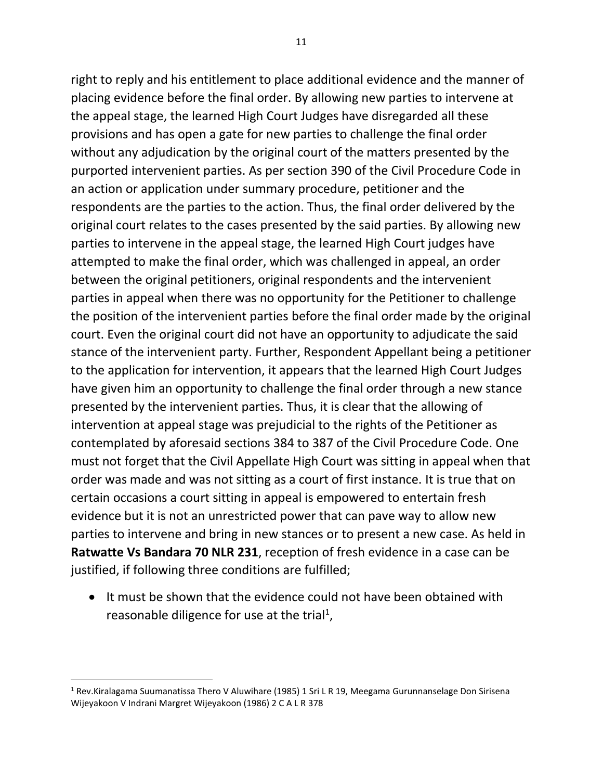right to reply and his entitlement to place additional evidence and the manner of placing evidence before the final order. By allowing new parties to intervene at the appeal stage, the learned High Court Judges have disregarded all these provisions and has open a gate for new parties to challenge the final order without any adjudication by the original court of the matters presented by the purported intervenient parties. As per section 390 of the Civil Procedure Code in an action or application under summary procedure, petitioner and the respondents are the parties to the action. Thus, the final order delivered by the original court relates to the cases presented by the said parties. By allowing new parties to intervene in the appeal stage, the learned High Court judges have attempted to make the final order, which was challenged in appeal, an order between the original petitioners, original respondents and the intervenient parties in appeal when there was no opportunity for the Petitioner to challenge the position of the intervenient parties before the final order made by the original court. Even the original court did not have an opportunity to adjudicate the said stance of the intervenient party. Further, Respondent Appellant being a petitioner to the application for intervention, it appears that the learned High Court Judges have given him an opportunity to challenge the final order through a new stance presented by the intervenient parties. Thus, it is clear that the allowing of intervention at appeal stage was prejudicial to the rights of the Petitioner as contemplated by aforesaid sections 384 to 387 of the Civil Procedure Code. One must not forget that the Civil Appellate High Court was sitting in appeal when that order was made and was not sitting as a court of first instance. It is true that on certain occasions a court sitting in appeal is empowered to entertain fresh evidence but it is not an unrestricted power that can pave way to allow new parties to intervene and bring in new stances or to present a new case. As held in **Ratwatte Vs Bandara 70 NLR 231**, reception of fresh evidence in a case can be justified, if following three conditions are fulfilled;

• It must be shown that the evidence could not have been obtained with reasonable diligence for use at the trial<sup>1</sup>,

<sup>&</sup>lt;sup>1</sup> Rev.Kiralagama Suumanatissa Thero V Aluwihare (1985) 1 Sri L R 19, Meegama Gurunnanselage Don Sirisena Wijeyakoon V Indrani Margret Wijeyakoon (1986) 2 C A L R 378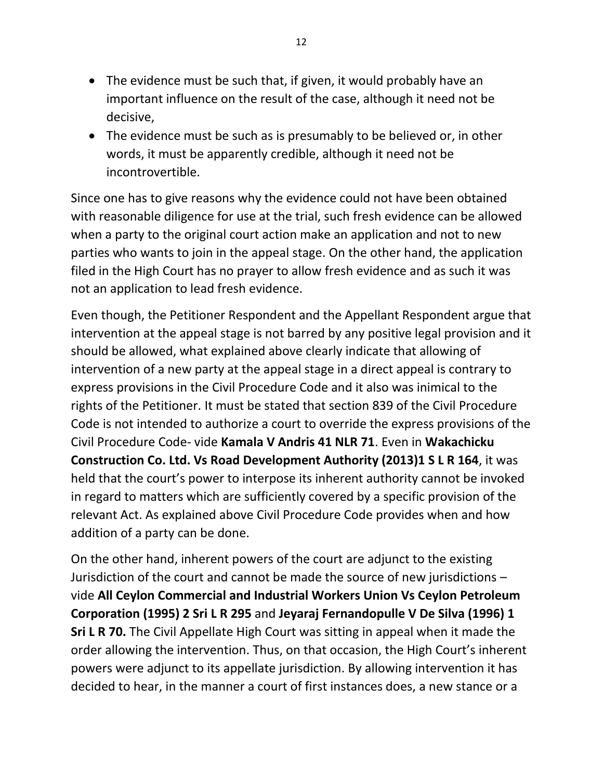- The evidence must be such that, if given, it would probably have an important influence on the result of the case, although it need not be decisive,
- The evidence must be such as is presumably to be believed or, in other words, it must be apparently credible, although it need not be incontrovertible.

Since one has to give reasons why the evidence could not have been obtained with reasonable diligence for use at the trial, such fresh evidence can be allowed when a party to the original court action make an application and not to new parties who wants to join in the appeal stage. On the other hand, the application filed in the High Court has no prayer to allow fresh evidence and as such it was not an application to lead fresh evidence.

Even though, the Petitioner Respondent and the Appellant Respondent argue that intervention at the appeal stage is not barred by any positive legal provision and it should be allowed, what explained above clearly indicate that allowing of intervention of a new party at the appeal stage in a direct appeal is contrary to express provisions in the Civil Procedure Code and it also was inimical to the rights of the Petitioner. It must be stated that section 839 of the Civil Procedure Code is not intended to authorize a court to override the express provisions of the Civil Procedure Code- vide **Kamala V Andris 41 NLR 71**. Even in **Wakachicku Construction Co. Ltd. Vs Road Development Authority (2013)1 S L R 164**, it was held that the court's power to interpose its inherent authority cannot be invoked in regard to matters which are sufficiently covered by a specific provision of the relevant Act. As explained above Civil Procedure Code provides when and how addition of a party can be done.

On the other hand, inherent powers of the court are adjunct to the existing Jurisdiction of the court and cannot be made the source of new jurisdictions – vide **All Ceylon Commercial and Industrial Workers Union Vs Ceylon Petroleum Corporation (1995) 2 Sri L R 295** and **Jeyaraj Fernandopulle V De Silva (1996) 1 Sri L R 70.** The Civil Appellate High Court was sitting in appeal when it made the order allowing the intervention. Thus, on that occasion, the High Court's inherent powers were adjunct to its appellate jurisdiction. By allowing intervention it has decided to hear, in the manner a court of first instances does, a new stance or a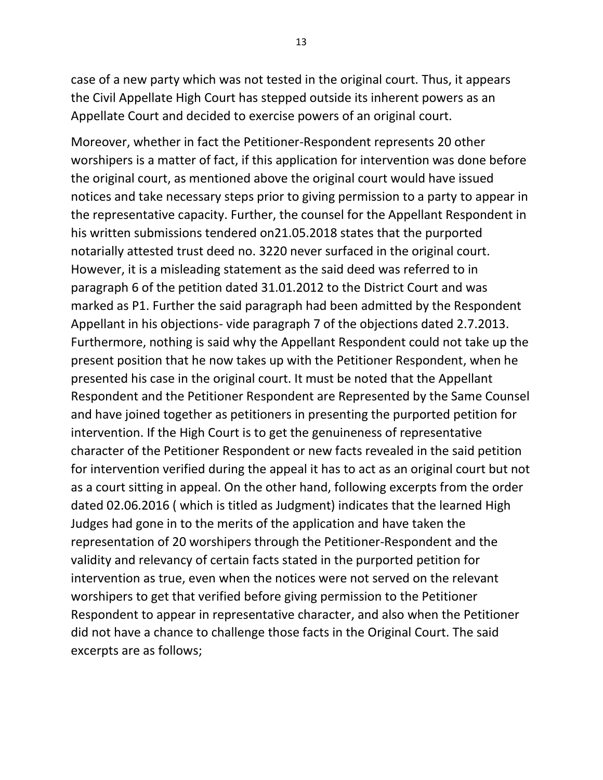case of a new party which was not tested in the original court. Thus, it appears the Civil Appellate High Court has stepped outside its inherent powers as an Appellate Court and decided to exercise powers of an original court.

Moreover, whether in fact the Petitioner-Respondent represents 20 other worshipers is a matter of fact, if this application for intervention was done before the original court, as mentioned above the original court would have issued notices and take necessary steps prior to giving permission to a party to appear in the representative capacity. Further, the counsel for the Appellant Respondent in his written submissions tendered on21.05.2018 states that the purported notarially attested trust deed no. 3220 never surfaced in the original court. However, it is a misleading statement as the said deed was referred to in paragraph 6 of the petition dated 31.01.2012 to the District Court and was marked as P1. Further the said paragraph had been admitted by the Respondent Appellant in his objections- vide paragraph 7 of the objections dated 2.7.2013. Furthermore, nothing is said why the Appellant Respondent could not take up the present position that he now takes up with the Petitioner Respondent, when he presented his case in the original court. It must be noted that the Appellant Respondent and the Petitioner Respondent are Represented by the Same Counsel and have joined together as petitioners in presenting the purported petition for intervention. If the High Court is to get the genuineness of representative character of the Petitioner Respondent or new facts revealed in the said petition for intervention verified during the appeal it has to act as an original court but not as a court sitting in appeal. On the other hand, following excerpts from the order dated 02.06.2016 ( which is titled as Judgment) indicates that the learned High Judges had gone in to the merits of the application and have taken the representation of 20 worshipers through the Petitioner-Respondent and the validity and relevancy of certain facts stated in the purported petition for intervention as true, even when the notices were not served on the relevant worshipers to get that verified before giving permission to the Petitioner Respondent to appear in representative character, and also when the Petitioner did not have a chance to challenge those facts in the Original Court. The said excerpts are as follows;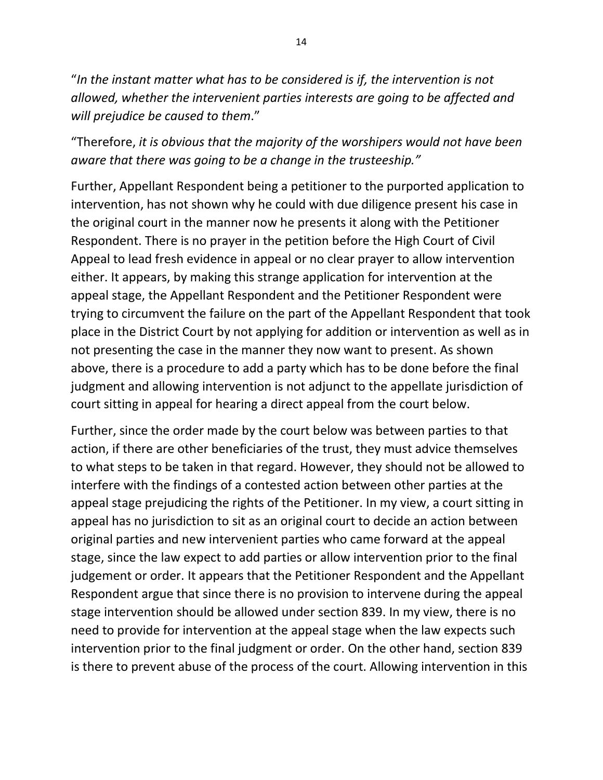"*In the instant matter what has to be considered is if, the intervention is not allowed, whether the intervenient parties interests are going to be affected and will prejudice be caused to them*."

"Therefore, *it is obvious that the majority of the worshipers would not have been aware that there was going to be a change in the trusteeship."*

Further, Appellant Respondent being a petitioner to the purported application to intervention, has not shown why he could with due diligence present his case in the original court in the manner now he presents it along with the Petitioner Respondent. There is no prayer in the petition before the High Court of Civil Appeal to lead fresh evidence in appeal or no clear prayer to allow intervention either. It appears, by making this strange application for intervention at the appeal stage, the Appellant Respondent and the Petitioner Respondent were trying to circumvent the failure on the part of the Appellant Respondent that took place in the District Court by not applying for addition or intervention as well as in not presenting the case in the manner they now want to present. As shown above, there is a procedure to add a party which has to be done before the final judgment and allowing intervention is not adjunct to the appellate jurisdiction of court sitting in appeal for hearing a direct appeal from the court below.

Further, since the order made by the court below was between parties to that action, if there are other beneficiaries of the trust, they must advice themselves to what steps to be taken in that regard. However, they should not be allowed to interfere with the findings of a contested action between other parties at the appeal stage prejudicing the rights of the Petitioner. In my view, a court sitting in appeal has no jurisdiction to sit as an original court to decide an action between original parties and new intervenient parties who came forward at the appeal stage, since the law expect to add parties or allow intervention prior to the final judgement or order. It appears that the Petitioner Respondent and the Appellant Respondent argue that since there is no provision to intervene during the appeal stage intervention should be allowed under section 839. In my view, there is no need to provide for intervention at the appeal stage when the law expects such intervention prior to the final judgment or order. On the other hand, section 839 is there to prevent abuse of the process of the court. Allowing intervention in this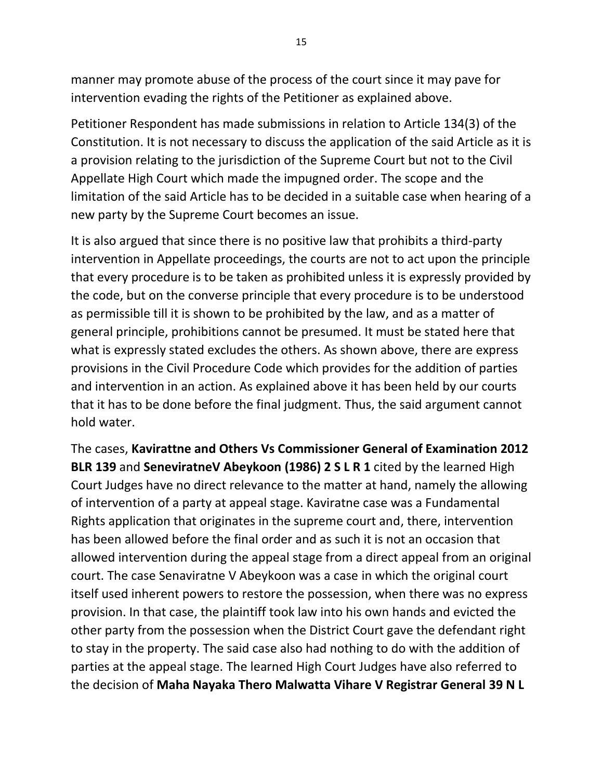manner may promote abuse of the process of the court since it may pave for intervention evading the rights of the Petitioner as explained above.

Petitioner Respondent has made submissions in relation to Article 134(3) of the Constitution. It is not necessary to discuss the application of the said Article as it is a provision relating to the jurisdiction of the Supreme Court but not to the Civil Appellate High Court which made the impugned order. The scope and the limitation of the said Article has to be decided in a suitable case when hearing of a new party by the Supreme Court becomes an issue.

It is also argued that since there is no positive law that prohibits a third-party intervention in Appellate proceedings, the courts are not to act upon the principle that every procedure is to be taken as prohibited unless it is expressly provided by the code, but on the converse principle that every procedure is to be understood as permissible till it is shown to be prohibited by the law, and as a matter of general principle, prohibitions cannot be presumed. It must be stated here that what is expressly stated excludes the others. As shown above, there are express provisions in the Civil Procedure Code which provides for the addition of parties and intervention in an action. As explained above it has been held by our courts that it has to be done before the final judgment. Thus, the said argument cannot hold water.

The cases, **Kavirattne and Others Vs Commissioner General of Examination 2012 BLR 139** and **SeneviratneV Abeykoon (1986) 2 S L R 1** cited by the learned High Court Judges have no direct relevance to the matter at hand, namely the allowing of intervention of a party at appeal stage. Kaviratne case was a Fundamental Rights application that originates in the supreme court and, there, intervention has been allowed before the final order and as such it is not an occasion that allowed intervention during the appeal stage from a direct appeal from an original court. The case Senaviratne V Abeykoon was a case in which the original court itself used inherent powers to restore the possession, when there was no express provision. In that case, the plaintiff took law into his own hands and evicted the other party from the possession when the District Court gave the defendant right to stay in the property. The said case also had nothing to do with the addition of parties at the appeal stage. The learned High Court Judges have also referred to the decision of **Maha Nayaka Thero Malwatta Vihare V Registrar General 39 N L**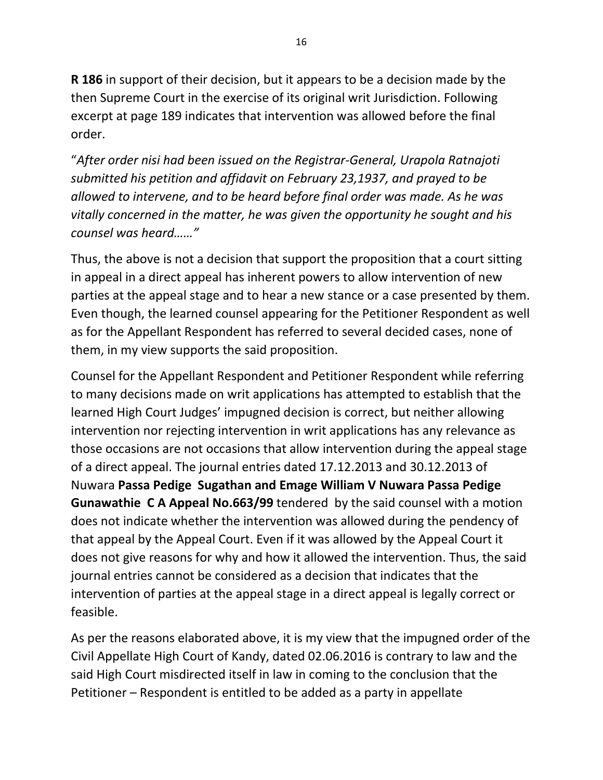**R 186** in support of their decision, but it appears to be a decision made by the then Supreme Court in the exercise of its original writ Jurisdiction. Following excerpt at page 189 indicates that intervention was allowed before the final order.

"*After order nisi had been issued on the Registrar-General, Urapola Ratnajoti submitted his petition and affidavit on February 23,1937, and prayed to be allowed to intervene, and to be heard before final order was made. As he was vitally concerned in the matter, he was given the opportunity he sought and his counsel was heard……"*

Thus, the above is not a decision that support the proposition that a court sitting in appeal in a direct appeal has inherent powers to allow intervention of new parties at the appeal stage and to hear a new stance or a case presented by them. Even though, the learned counsel appearing for the Petitioner Respondent as well as for the Appellant Respondent has referred to several decided cases, none of them, in my view supports the said proposition.

Counsel for the Appellant Respondent and Petitioner Respondent while referring to many decisions made on writ applications has attempted to establish that the learned High Court Judges' impugned decision is correct, but neither allowing intervention nor rejecting intervention in writ applications has any relevance as those occasions are not occasions that allow intervention during the appeal stage of a direct appeal. The journal entries dated 17.12.2013 and 30.12.2013 of Nuwara **Passa Pedige Sugathan and Emage William V Nuwara Passa Pedige Gunawathie C A Appeal No.663/99** tendered by the said counsel with a motion does not indicate whether the intervention was allowed during the pendency of that appeal by the Appeal Court. Even if it was allowed by the Appeal Court it does not give reasons for why and how it allowed the intervention. Thus, the said journal entries cannot be considered as a decision that indicates that the intervention of parties at the appeal stage in a direct appeal is legally correct or feasible.

As per the reasons elaborated above, it is my view that the impugned order of the Civil Appellate High Court of Kandy, dated 02.06.2016 is contrary to law and the said High Court misdirected itself in law in coming to the conclusion that the Petitioner – Respondent is entitled to be added as a party in appellate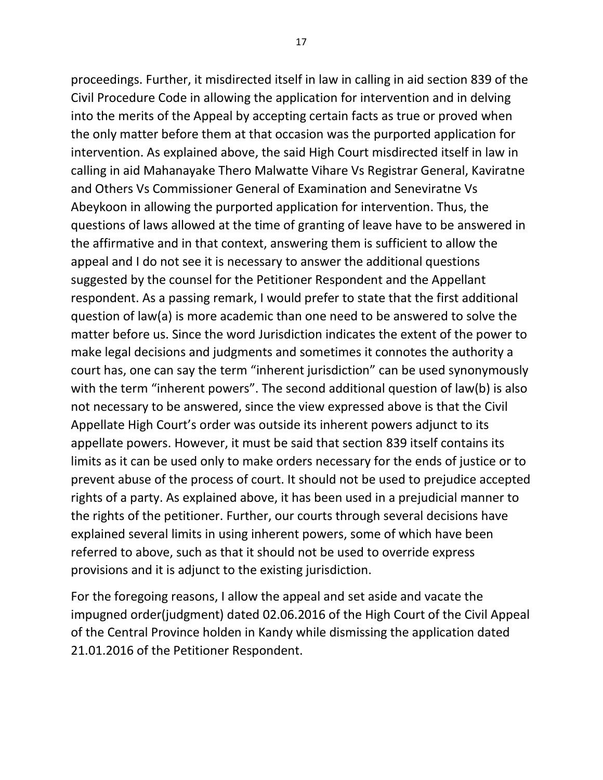proceedings. Further, it misdirected itself in law in calling in aid section 839 of the Civil Procedure Code in allowing the application for intervention and in delving into the merits of the Appeal by accepting certain facts as true or proved when the only matter before them at that occasion was the purported application for intervention. As explained above, the said High Court misdirected itself in law in calling in aid Mahanayake Thero Malwatte Vihare Vs Registrar General, Kaviratne and Others Vs Commissioner General of Examination and Seneviratne Vs Abeykoon in allowing the purported application for intervention. Thus, the questions of laws allowed at the time of granting of leave have to be answered in the affirmative and in that context, answering them is sufficient to allow the appeal and I do not see it is necessary to answer the additional questions suggested by the counsel for the Petitioner Respondent and the Appellant respondent. As a passing remark, I would prefer to state that the first additional question of law(a) is more academic than one need to be answered to solve the matter before us. Since the word Jurisdiction indicates the extent of the power to make legal decisions and judgments and sometimes it connotes the authority a court has, one can say the term "inherent jurisdiction" can be used synonymously with the term "inherent powers". The second additional question of law(b) is also not necessary to be answered, since the view expressed above is that the Civil Appellate High Court's order was outside its inherent powers adjunct to its appellate powers. However, it must be said that section 839 itself contains its limits as it can be used only to make orders necessary for the ends of justice or to prevent abuse of the process of court. It should not be used to prejudice accepted rights of a party. As explained above, it has been used in a prejudicial manner to the rights of the petitioner. Further, our courts through several decisions have explained several limits in using inherent powers, some of which have been referred to above, such as that it should not be used to override express provisions and it is adjunct to the existing jurisdiction.

For the foregoing reasons, I allow the appeal and set aside and vacate the impugned order(judgment) dated 02.06.2016 of the High Court of the Civil Appeal of the Central Province holden in Kandy while dismissing the application dated 21.01.2016 of the Petitioner Respondent.